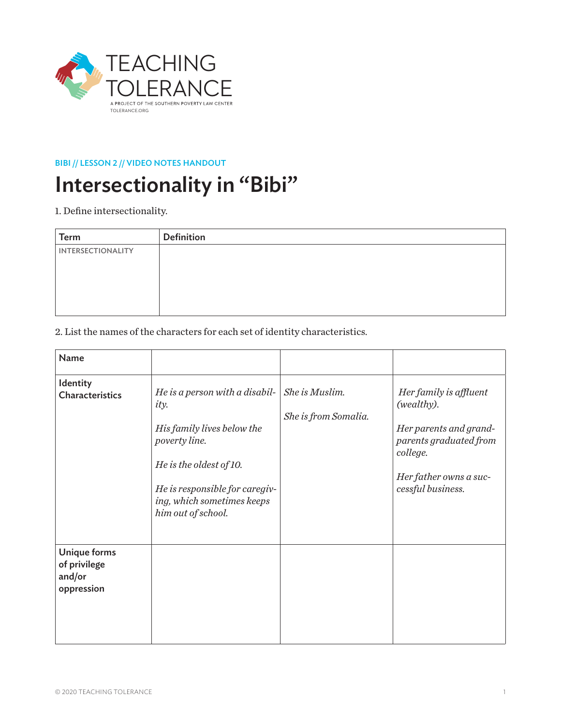

### BIBI // LESSON 2 // VIDEO NOTES HANDOUT

# Intersectionality in "Bibi"

1. Define intersectionality.

| <b>Term</b>              | <b>Definition</b> |
|--------------------------|-------------------|
| <b>INTERSECTIONALITY</b> |                   |
|                          |                   |
|                          |                   |
|                          |                   |
|                          |                   |

2. List the names of the characters for each set of identity characteristics.

| <b>Name</b>                                          |                                                                                                                                                                                                               |                                        |                                                                                                                                                     |
|------------------------------------------------------|---------------------------------------------------------------------------------------------------------------------------------------------------------------------------------------------------------------|----------------------------------------|-----------------------------------------------------------------------------------------------------------------------------------------------------|
| Identity<br><b>Characteristics</b>                   | He is a person with a disabil-<br><i>ity.</i><br>His family lives below the<br>poverty line.<br>He is the oldest of 10.<br>He is responsible for caregiv-<br>ing, which sometimes keeps<br>him out of school. | She is Muslim.<br>She is from Somalia. | Her family is affluent<br>(wealthy).<br>Her parents and grand-<br>parents graduated from<br>college.<br>Her father owns a suc-<br>cessful business. |
| Unique forms<br>of privilege<br>and/or<br>oppression |                                                                                                                                                                                                               |                                        |                                                                                                                                                     |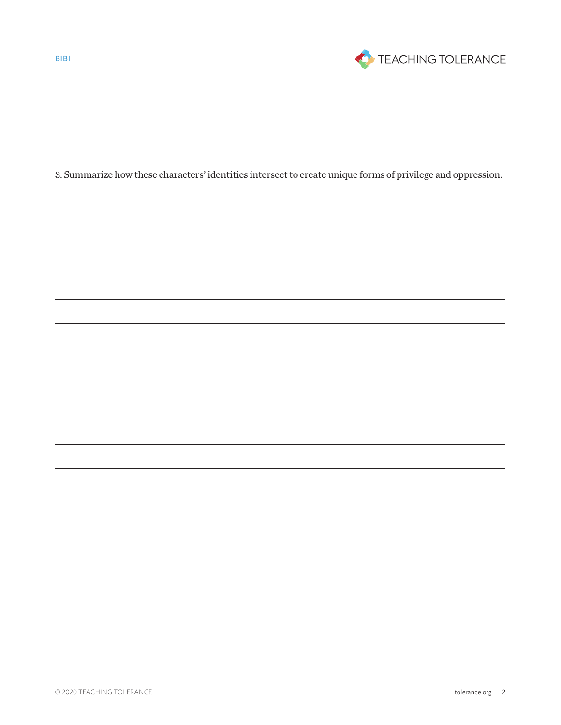

3. Summarize how these characters' identities intersect to create unique forms of privilege and oppression.

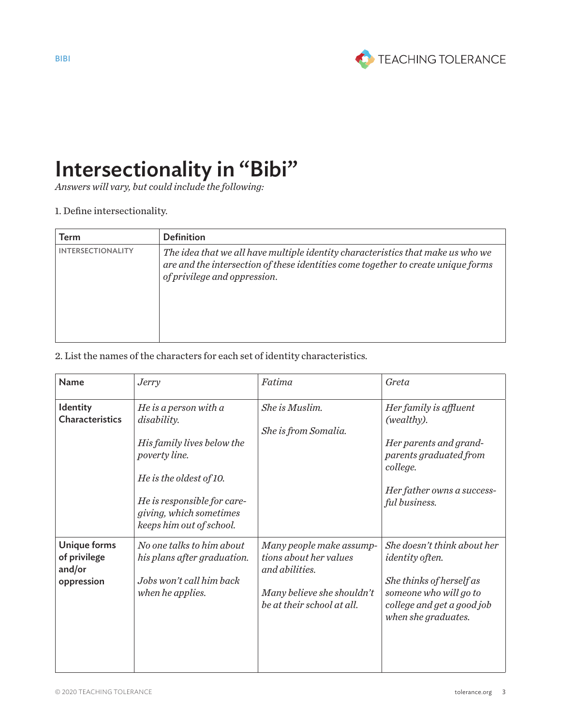

## Intersectionality in "Bibi"

*Answers will vary, but could include the following:* 

### 1. Define intersectionality.

| Term                     | <b>Definition</b>                                                                                                                                                                                    |
|--------------------------|------------------------------------------------------------------------------------------------------------------------------------------------------------------------------------------------------|
| <b>INTERSECTIONALITY</b> | The idea that we all have multiple identity characteristics that make us who we<br>are and the intersection of these identities come together to create unique forms<br>of privilege and oppression. |

#### 2. List the names of the characters for each set of identity characteristics.

| <b>Name</b>                                          | <i>Jerry</i>                                                                                                                                                                                           | Fatima                                                                                                                           | Greta                                                                                                                                                            |
|------------------------------------------------------|--------------------------------------------------------------------------------------------------------------------------------------------------------------------------------------------------------|----------------------------------------------------------------------------------------------------------------------------------|------------------------------------------------------------------------------------------------------------------------------------------------------------------|
| Identity<br><b>Characteristics</b>                   | He is a person with $a$<br>disability.<br>His family lives below the<br>poverty line.<br>He is the oldest of 10.<br>He is responsible for care-<br>giving, which sometimes<br>keeps him out of school. | She is Muslim.<br>She is from Somalia.                                                                                           | Her family is affluent<br>(wealthy).<br>Her parents and grand-<br>parents graduated from<br>college.<br>Her father owns a success-<br>ful business.              |
| Unique forms<br>of privilege<br>and/or<br>oppression | No one talks to him about<br>his plans after graduation.<br>Jobs won't call him back<br>when he applies.                                                                                               | Many people make assump-<br>tions about her values<br>and abilities.<br>Many believe she shouldn't<br>be at their school at all. | She doesn't think about her<br><i>identity</i> often.<br>She thinks of herself as<br>someone who will go to<br>college and get a good job<br>when she graduates. |